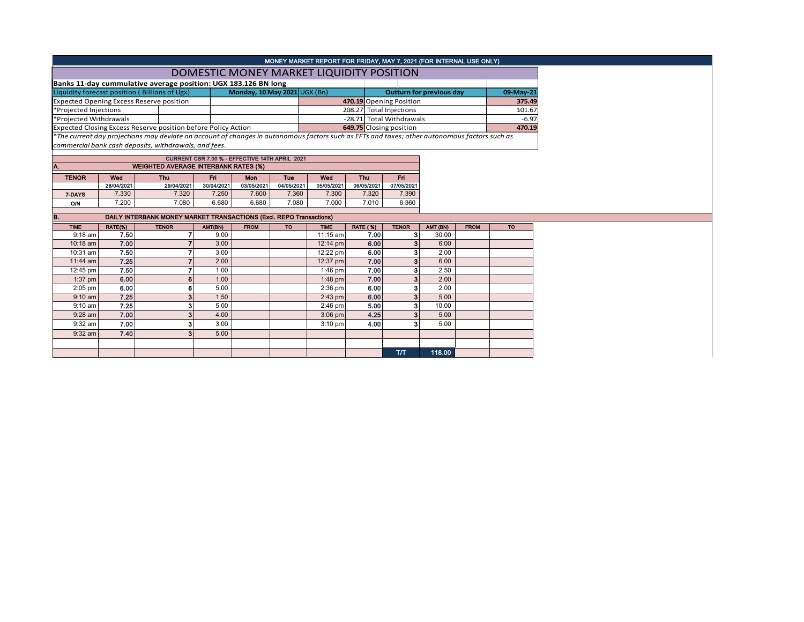| MONEY MARKET REPORT FOR FRIDAY, MAY 7, 2021 (FOR INTERNAL USE ONLY)                                  |                     |                                                                                                                                               |                     |                              |                     |                     |                          |                                 |          |             |           |        |
|------------------------------------------------------------------------------------------------------|---------------------|-----------------------------------------------------------------------------------------------------------------------------------------------|---------------------|------------------------------|---------------------|---------------------|--------------------------|---------------------------------|----------|-------------|-----------|--------|
| DOMESTIC MONEY MARKET LIQUIDITY POSITION                                                             |                     |                                                                                                                                               |                     |                              |                     |                     |                          |                                 |          |             |           |        |
| Banks 11-day cummulative average position: UGX 183.126 BN long                                       |                     |                                                                                                                                               |                     |                              |                     |                     |                          |                                 |          |             |           |        |
|                                                                                                      |                     | Liquidity forecast position (Billions of Ugx)                                                                                                 |                     | Monday, 10 May 2021 UGX (Bn) |                     |                     |                          | <b>Outturn for previous day</b> |          | 09-May-21   |           |        |
|                                                                                                      |                     | <b>Expected Opening Excess Reserve position</b>                                                                                               |                     |                              |                     |                     |                          | 470.19 Opening Position         |          |             |           | 375.49 |
| *Projected Injections                                                                                |                     |                                                                                                                                               |                     |                              |                     |                     | 208.27 Total Injections  |                                 |          |             |           | 101.67 |
| *Projected Withdrawals                                                                               |                     |                                                                                                                                               |                     |                              |                     |                     | -28.71 Total Withdrawals |                                 |          |             | $-6.97$   |        |
|                                                                                                      |                     | Expected Closing Excess Reserve position before Policy Action                                                                                 |                     |                              |                     |                     | 649.75 Closing position  |                                 |          |             |           | 470.19 |
|                                                                                                      |                     | *The current day projections may deviate on account of changes in autonomous factors such as EFTs and taxes; other autonomous factors such as |                     |                              |                     |                     |                          |                                 |          |             |           |        |
|                                                                                                      |                     | commercial bank cash deposits, withdrawals, and fees.                                                                                         |                     |                              |                     |                     |                          |                                 |          |             |           |        |
|                                                                                                      |                     |                                                                                                                                               |                     |                              |                     |                     |                          |                                 |          |             |           |        |
| CURRENT CBR 7.00 % - EFFECTIVE 14TH APRIL 2021<br>IA.<br><b>WEIGHTED AVERAGE INTERBANK RATES (%)</b> |                     |                                                                                                                                               |                     |                              |                     |                     |                          |                                 |          |             |           |        |
|                                                                                                      |                     |                                                                                                                                               |                     |                              |                     |                     |                          |                                 |          |             |           |        |
| <b>TENOR</b>                                                                                         | Wed                 | <b>Thu</b>                                                                                                                                    | <b>Fri</b>          | Mon                          | <b>Tue</b>          | Wed<br>Thu          |                          | Fri                             |          |             |           |        |
|                                                                                                      | 28/04/2021<br>7.330 | 29/04/2021<br>7.320                                                                                                                           | 30/04/2021<br>7.250 | 03/05/2021<br>7.600          | 04/05/2021<br>7.360 | 05/05/2021<br>7.300 | 06/05/2021<br>7.320      | 07/05/2021<br>7.390             |          |             |           |        |
| 7-DAYS                                                                                               |                     |                                                                                                                                               |                     |                              |                     |                     |                          |                                 |          |             |           |        |
| <b>O/N</b>                                                                                           | 7.200               | 7.080                                                                                                                                         | 6.680               | 6.680                        | 7.080               | 7.000               | 7.010                    | 6.360                           |          |             |           |        |
| B.                                                                                                   |                     | DAILY INTERBANK MONEY MARKET TRANSACTIONS (Excl. REPO Transactions)                                                                           |                     |                              |                     |                     |                          |                                 |          |             |           |        |
| <b>TIME</b>                                                                                          | RATE(%)             | <b>TENOR</b>                                                                                                                                  | AMT(BN)             | <b>FROM</b>                  | <b>TO</b>           | <b>TIME</b>         | <b>RATE (%)</b>          | <b>TENOR</b>                    | AMT (BN) | <b>FROM</b> | <b>TO</b> |        |
| $9:18$ am                                                                                            | 7.50                |                                                                                                                                               | 9.00                |                              |                     | $11:15$ am          | 7.00                     | 3                               | 30.00    |             |           |        |
| $10:18$ am                                                                                           | 7.00                |                                                                                                                                               | 3.00                |                              |                     | 12:14 pm            | 6.00                     | 3                               | 6.00     |             |           |        |
| 10:31 am                                                                                             | 7.50                |                                                                                                                                               | 3.00                |                              |                     | 12:22 pm            | 6.00                     | 3                               | 2.00     |             |           |        |
| 11:44 am                                                                                             | 7.25                |                                                                                                                                               | 2.00                |                              |                     | 12:37 pm            | 7.00                     | 3                               | 6.00     |             |           |        |

T/T 118.00

12:45 pm 7.50 7 1.00 1.00 1:46 pm 7.00 3 2.50 1:37 pm 6.00 6.00 6 1.00 1:00 1:48 pm 7.00 3 2.00 2:05 pm 6.00 6.00 6 5.00 6 5.00 8 2:36 pm 6.00 3 2.00 9:10 am | **7.25 | 3 |** 1.50 | 2:43 pm | **6.00 | 3 |** 5.00 9:10 am | 7.25 | 3| 5.00 | 2:46 pm | 5.00 | 3| 10.00 9:28 am | 7.00 | 3 | 4.00 | | 3:06 pm | 4.25 | 3 | 5.00 9:32 am | 7.00 | 3 | 3.00 | | 3:10 pm | 4.00 | 3 | 5.00

9:32 am  $\begin{array}{|c|c|c|c|c|c|}\n\hline\n\text{9:32 am} & \text{7.40} & \text{3} & \text{5.00} \\
\hline\n\end{array}$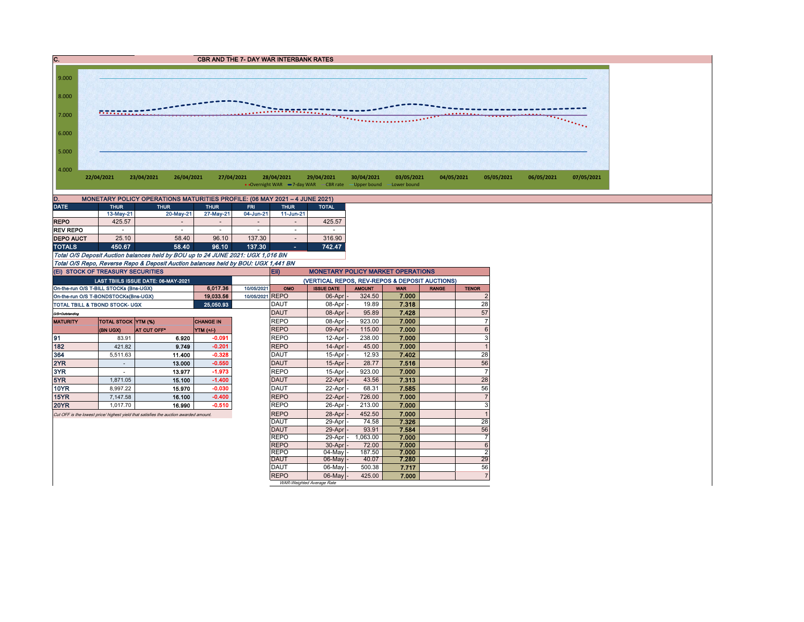` CBR AND THE 7- DAY WAR INTERBANK RATES 4.000 5.000 6.000 7.000 8.000 9.000 **22/04/2021 23/04/2021 26/04/2021 27/04/2021 28/04/2021 29/04/2021 30/04/2021 03/05/2021 04/05/2021 05/05/2021 06/05/2021 07/05/2021** • Overnight WAR -7-day WAR CBR rate -Upper bound -Lower bound

**EXECUTION MARKET OPERATIONS** 

| MONETARY POLICY OPERATIONS MATURITIES PROFILE: (06 MAY 2021 - 4 JUNE 2021)<br>D. |             |                          |                              |            |                          |              |  |  |  |  |  |  |
|----------------------------------------------------------------------------------|-------------|--------------------------|------------------------------|------------|--------------------------|--------------|--|--|--|--|--|--|
| <b>DATE</b>                                                                      | <b>THUR</b> | <b>THUR</b>              | <b>THUR</b>                  | <b>FRI</b> | <b>THUR</b>              | <b>TOTAL</b> |  |  |  |  |  |  |
|                                                                                  | 13-May-21   | 20-May-21                | 27-May-21                    | 04-Jun-21  | 11-Jun-21                |              |  |  |  |  |  |  |
| <b>REPO</b>                                                                      | 425.57      | $\overline{\phantom{a}}$ | $\qquad \qquad \blacksquare$ |            | $\overline{\phantom{a}}$ | 425.57       |  |  |  |  |  |  |
| <b>REV REPO</b>                                                                  | -           |                          | $\overline{\phantom{a}}$     |            | ۰                        | -            |  |  |  |  |  |  |
| <b>DEPO AUCT</b>                                                                 | 25.10       | 58.40                    | 96.10                        | 137.30     | $\overline{\phantom{a}}$ | 316.90       |  |  |  |  |  |  |
| <b>TOTALS</b>                                                                    | 450.67      | 58.40                    | 96.10                        | 137.30     |                          | 742.47       |  |  |  |  |  |  |

Total O/S Deposit Auction balances held by BOU up to 24 JUNE 2021: UGX 1,016 BN Total O/S Repo, Reverse Repo & Deposit Auction balances held by BOU: UGX 1,441 BN (Ei) STOCK OF TREASURY SECURITIES

|                                | <b>IGU STUCK OF TREASURT SECURITIES</b>   |                                                                                       |                  | ربيع<br><b>MUNETART FULIUT MARRET UPERATIONS</b> |                   |                           |            |              |                |                |  |  |
|--------------------------------|-------------------------------------------|---------------------------------------------------------------------------------------|------------------|--------------------------------------------------|-------------------|---------------------------|------------|--------------|----------------|----------------|--|--|
|                                |                                           | LAST TBIILS ISSUE DATE: 06-MAY-2021                                                   |                  | (VERTICAL REPOS, REV-REPOS & DEPOSIT AUCTIONS)   |                   |                           |            |              |                |                |  |  |
|                                | On-the-run O/S T-BILL STOCKs (Bns-UGX)    |                                                                                       | 6.017.36         | 10/05/2021<br>OMO                                | <b>ISSUE DATE</b> | <b>AMOUNT</b>             | <b>WAR</b> | <b>RANGE</b> | <b>TENOR</b>   |                |  |  |
|                                | On-the-run O/S T-BONDSTOCKs(Bns-UGX)      |                                                                                       | 19 033.56        | 10/05/2021 REPO                                  | $06$ -Apr $-$     | 324.50                    | 7.000      |              | $\overline{2}$ |                |  |  |
|                                | <b>TOTAL TBILL &amp; TBOND STOCK- UGX</b> |                                                                                       | 25,050.93        | <b>DAUT</b>                                      | 08-Apr -          | 19.89                     | 7.318      |              | 28             |                |  |  |
| <b>DAUT</b><br>O/S=Outstanding |                                           |                                                                                       |                  |                                                  |                   | 08-Apr -                  | 95.89      | 7.428        |                | 57             |  |  |
| <b>MATURITY</b>                | TOTAL STOCK YTM (%)                       |                                                                                       | <b>CHANGE IN</b> |                                                  | <b>REPO</b>       | 08-Apr -                  | 923.00     | 7.000        |                | $\overline{7}$ |  |  |
|                                | <b>(BN UGX)</b>                           | AT CUT OFF*                                                                           | YTM (+/-)        |                                                  | <b>REPO</b>       | $09$ -Apr $-$             | 115.00     | 7.000        |                | 6              |  |  |
| 191                            | 83.91                                     | 6.920                                                                                 | $-0.091$         |                                                  | <b>REPO</b>       | 12-Apr -                  | 238.00     | 7.000        |                | 3              |  |  |
| 182                            | 421.82                                    | 9.749                                                                                 | $-0.201$         |                                                  | <b>REPO</b>       | $14$ -Apr $ -$            | 45.00      | 7.000        |                |                |  |  |
| 364                            | 5.511.63                                  | 11.400                                                                                | $-0.328$         |                                                  | DAUT              | 15-Apr -                  | 12.93      | 7.402        |                | 28             |  |  |
| 2YR                            |                                           | 13.000                                                                                | $-0.550$         |                                                  | <b>DAUT</b>       | $15$ -Apr $-$             | 28.77      | 7.516        |                | 56             |  |  |
| 3YR                            |                                           | 13.977                                                                                | $-1.973$         |                                                  | <b>REPO</b>       | 15-Apr -                  | 923.00     | 7.000        |                | $\overline{7}$ |  |  |
| 5YR                            | 1.871.05                                  | 15.100                                                                                | $-1.400$         |                                                  | DAUT              | 22-Apr -                  | 43.56      | 7.313        |                | 28             |  |  |
| <b>10YR</b>                    | 8.997.22                                  | 15.970                                                                                | $-0.030$         |                                                  | <b>DAUT</b>       | 22-Apr -                  | 68.31      | 7.585        |                | 56             |  |  |
| 15YR                           | 7.147.58                                  | 16.100                                                                                | $-0.400$         |                                                  | <b>REPO</b>       | 22-Apr                    | 726.00     | 7.000        |                |                |  |  |
| <b>20YR</b>                    | 1.017.70                                  | 16.990                                                                                | $-0.510$         |                                                  | <b>REPO</b>       | 26-Apr                    | 213.00     | 7.000        |                | 3              |  |  |
|                                |                                           | Cut OFF is the lowest price/ highest yield that satisfies the auction awarded amount. |                  |                                                  | <b>REPO</b>       | 28-Apr -                  | 452.50     | 7.000        |                |                |  |  |
|                                |                                           |                                                                                       |                  |                                                  | DAUT              | 29-Apr -                  | 74.58      | 7.326        |                | 28             |  |  |
|                                |                                           |                                                                                       |                  |                                                  | DAUT              | 29-Apr -                  | 93.91      | 7.584        |                | 56             |  |  |
|                                |                                           |                                                                                       |                  |                                                  | <b>REPO</b>       | 29-Apr -                  | 1,063.00   | 7.000        |                | $\overline{7}$ |  |  |
|                                |                                           |                                                                                       |                  |                                                  | <b>REPO</b>       | 30-Apr -                  | 72.00      | 7.000        |                | 6              |  |  |
|                                |                                           |                                                                                       |                  |                                                  | <b>REPO</b>       | 04-May -                  | 187.50     | 7.000        |                | $\overline{2}$ |  |  |
|                                |                                           |                                                                                       |                  |                                                  | <b>DAUT</b>       | $06$ -May $-$             | 40.07      | 7.280        |                | 29             |  |  |
|                                |                                           |                                                                                       |                  |                                                  | <b>DAUT</b>       | 06-May -                  | 500.38     | 7.717        |                | 56             |  |  |
|                                |                                           |                                                                                       |                  |                                                  | <b>REPO</b>       | 06-May -                  | 425.00     | 7.000        |                | $\overline{7}$ |  |  |
|                                |                                           |                                                                                       |                  |                                                  |                   | WAR-Weighted Average Rate |            |              |                |                |  |  |